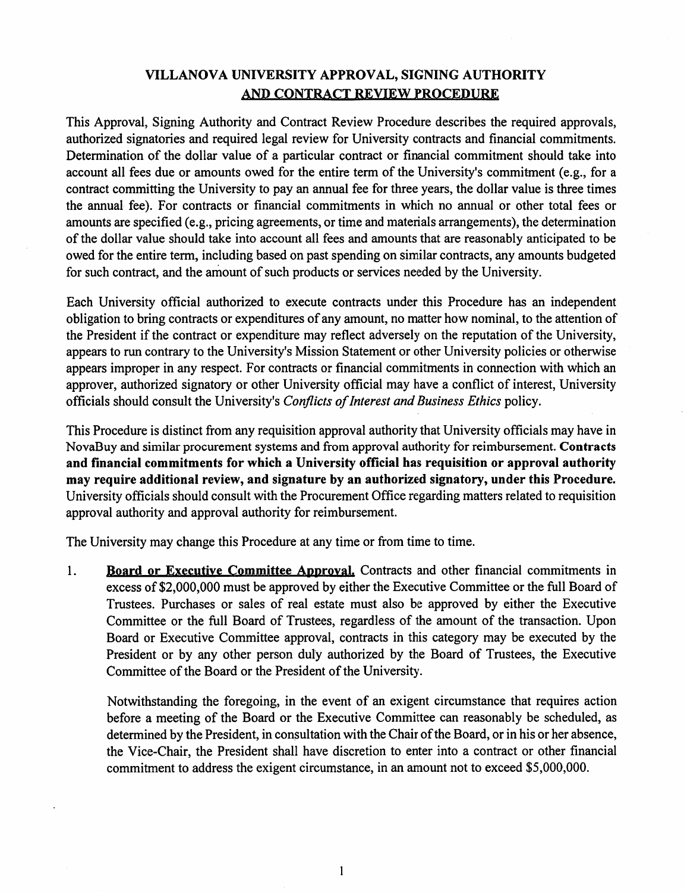## VILLANOVA UNIVERSITY APPROVAL, SIGNING AUTHORITY AND CONTRACT REVIEW PROCEDURE

This Approval, Signing Authority and Contract Review Procedure describes the required approvals, authorized signatories and required legal review for University contracts and financial commitments. Determination of the dollar value of a particular contract or financial commitment should take into account all fees due or amounts owed for the entire term of the University's commitment (e.g., for a contract committing the University to pay an annual fee for three years, the dollar value is three times the annual fee). For contracts or financial commitments in which no annual or other total fees or amounts are specified (e.g., pricing agreements, or time and materials arrangements), the determination of the dollar value should take into account all fees and amounts that are reasonably anticipated to be owed for the entire term, including based on past spending on similar contracts, any amounts budgeted for such contract, and the amount of such products or services needed by the University.

Each University official authorized to execute contracts under this Procedure has an independent obligation to bring contracts or expenditures of any amount, no matter how nominal, to the attention of the President if the contract or expenditure may reflect adversely on the reputation of the University, appears to run contrary to the University's Mission Statement or other University policies or otherwise appears improper in any respect. For contracts or financial commitments in connection with which an approver, authorized signatory or other University official may have a conflict of interest. University officials should consult the University's Conflicts of Interest and Business Ethics policy.

This Procedure is distinct from any requisition approval authority that University officials may have in NovaBuy and similar procurement systems and from approval authority for reimbursement. Contracts and financial commitments for which a University official has requisition or approval authority may require additional review, and signature by an authorized signatory, under this Procedure. University officials should consult with the Procurement Office regarding matters related to requisition approval authority and approval authority for reimbursement.

The University may change this Procedure at any time or from time to time.

1. Board or Executive Committee Approval. Contracts and other financial commitments in excess of \$2,000,000 must be approved by either the Executive Committee or the full Board of Trustees. Purchases or sales of real estate must also be approved by either the Executive Committee or the full Board of Trustees, regardless of the amount of the transaction. Upon Board or Executive Committee approval, contracts in this category may be executed by the President or by any other person duly authorized by the Board of Trustees, the Executive Committee of the Board or the President of the University.

Notwithstanding the foregoing, in the event of an exigent circumstance that requires action before a meeting of the Board or the Executive Committee can reasonably be scheduled, as determined by the President, in consultation with the Chair of the Board, or in his or her absence, the Vice-Chair, the President shall have discretion to enter into a contract or other financial commitment to address the exigent circumstance, in an amount not to exceed \$5,000,000.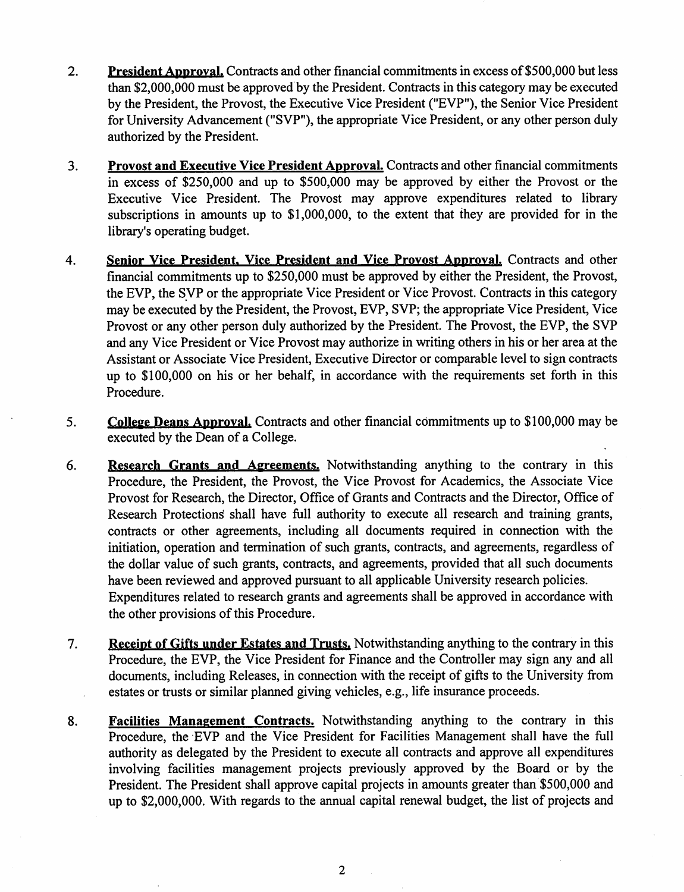- $2.$ **President Approval, Contracts and other financial commitments in excess of \$500,000 but less** than \$2,000,000 must be approved by the President. Contracts in this category may be executed by the President, the Provost, the Executive Vice President ("EVP"), the Senior Vice President for University Advancement ("SVP"), the appropriate Vice President, or any other person duly authorized by the President.
- $3.$ Provost and Executive Vice President Approval. Contracts and other financial commitments in excess of \$250,000 and up to \$500,000 may be approved by either the Provost or the Executive Vice President. The Provost may approve expenditures related to library subscriptions in amounts up to \$1,000,000, to the extent that they are provided for in the library's operating budget.
- 4. Senior Vice President, Vice President and Vice Provost Approval. Contracts and other financial commitments up to \$250,000 must be approved by either the President, the Provost, the EVP, the SVP or the appropriate Vice President or Vice Provost. Contracts in this category may be executed by the President, the Provost, EVP, SVP; the appropriate Vice President, Vice Provost or any other person duly authorized by the President. The Provost, the EVP, the SVP and any Vice President or Vice Provost may authorize in writing others in his or her area at the Assistant or Associate Vice President, Executive Director or comparable level to sign contracts up to \$100,000 on his or her behalf, in accordance with the requirements set forth in this Procedure.
- College Deans Approval. Contracts and other financial commitments up to \$100,000 may be 5. executed by the Dean of a College.
- Research Grants and Agreements. Notwithstanding anything to the contrary in this 6. Procedure, the President, the Provost, the Vice Provost for Academics, the Associate Vice Provost for Research, the Director, Office of Grants and Contracts and the Director, Office of Research Protections shall have full authority to execute all research and training grants, contracts or other agreements, including all documents required in connection with the initiation, operation and termination of such grants, contracts, and agreements, regardless of the dollar value of such grants, contracts, and agreements, provided that all such documents have been reviewed and approved pursuant to all applicable University research policies. Expenditures related to research grants and agreements shall be approved in accordance with the other provisions of this Procedure.
- Receipt of Gifts under Estates and Trusts. Notwithstanding anything to the contrary in this  $7.$ Procedure, the EVP, the Vice President for Finance and the Controller may sign any and all documents, including Releases, in connection with the receipt of gifts to the University from estates or trusts or similar planned giving vehicles, e.g., life insurance proceeds.
- 8. Facilities Management Contracts. Notwithstanding anything to the contrary in this Procedure, the EVP and the Vice President for Facilities Management shall have the full authority as delegated by the President to execute all contracts and approve all expenditures involving facilities management projects previously approved by the Board or by the President. The President shall approve capital projects in amounts greater than \$500,000 and up to \$2,000,000. With regards to the annual capital renewal budget, the list of projects and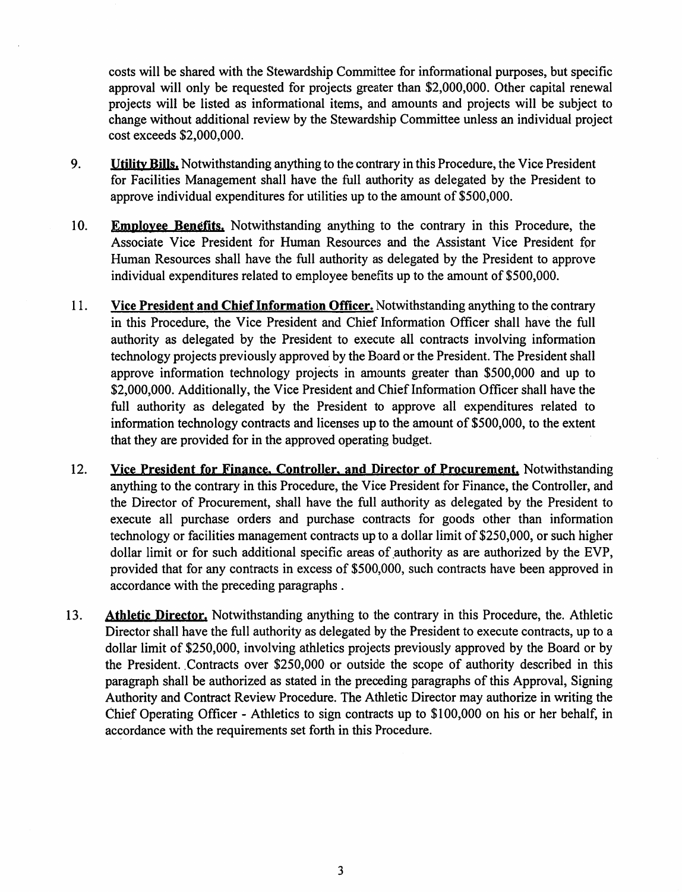costs will be shared with the Stewardship Committee for informational purposes, but specific approval will only be requested for projects greater than \$2,000,000. Other capital renewal projects will be listed as informational items, and amounts and projects will be subject to change without additional review by the Stewardship Committee unless an individual project cost exceeds \$2,000,000.

- 9. **Utility Bills.** Notwithstanding anything to the contrary in this Procedure, the Vice President for Facilities Management shall have the full authority as delegated by the President to approve individual expenditures for utilities up to the amount of \$500,000.
- 10. **Employee Benefits.** Notwithstanding anything to the contrary in this Procedure, the Associate Vice President for Human Resources and the Assistant Vice President for Human Resources shall have the full authority as delegated by the President to approve individual expenditures related to employee benefits up to the amount of \$500,000.
- 11. Vice President and Chief Information Officer. Notwithstanding anything to the contrary in this Procedure, the Vice President and Chief Information Officer shall have the full authority as delegated by the President to execute all contracts involving information technology projects previously approved by the Board or the President. The President shall approve information technology projects in amounts greater than \$500,000 and up to \$2,000,000. Additionally, the Vice President and Chief Information Officer shall have the full authority as delegated by the President to approve all expenditures related to information technology contracts and licenses up to the amount of \$500,000, to the extent that they are provided for in the approved operating budget.
- 12. Vice President for Finance, Controller, and Director of Procurement, Notwithstanding anything to the contrary in this Procedure, the Vice President for Finance, the Controller, and the Director of Procurement, shall have the full authority as delegated by the President to execute all purchase orders and purchase contracts for goods other than information technology or facilities management contracts up to a dollar limit of \$250,000, or such higher dollar limit or for such additional specific areas of authority as are authorized by the EVP, provided that for any contracts in excess of \$500,000, such contracts have been approved in accordance with the preceding paragraphs.
- 13. Athletic Director, Notwithstanding anything to the contrary in this Procedure, the Athletic Director shall have the full authority as delegated by the President to execute contracts, up to a dollar limit of \$250,000, involving athletics projects previously approved by the Board or by the President. Contracts over \$250,000 or outside the scope of authority described in this paragraph shall be authorized as stated in the preceding paragraphs of this Approval, Signing Authority and Contract Review Procedure. The Athletic Director may authorize in writing the Chief Operating Officer - Athletics to sign contracts up to \$100,000 on his or her behalf, in accordance with the requirements set forth in this Procedure.